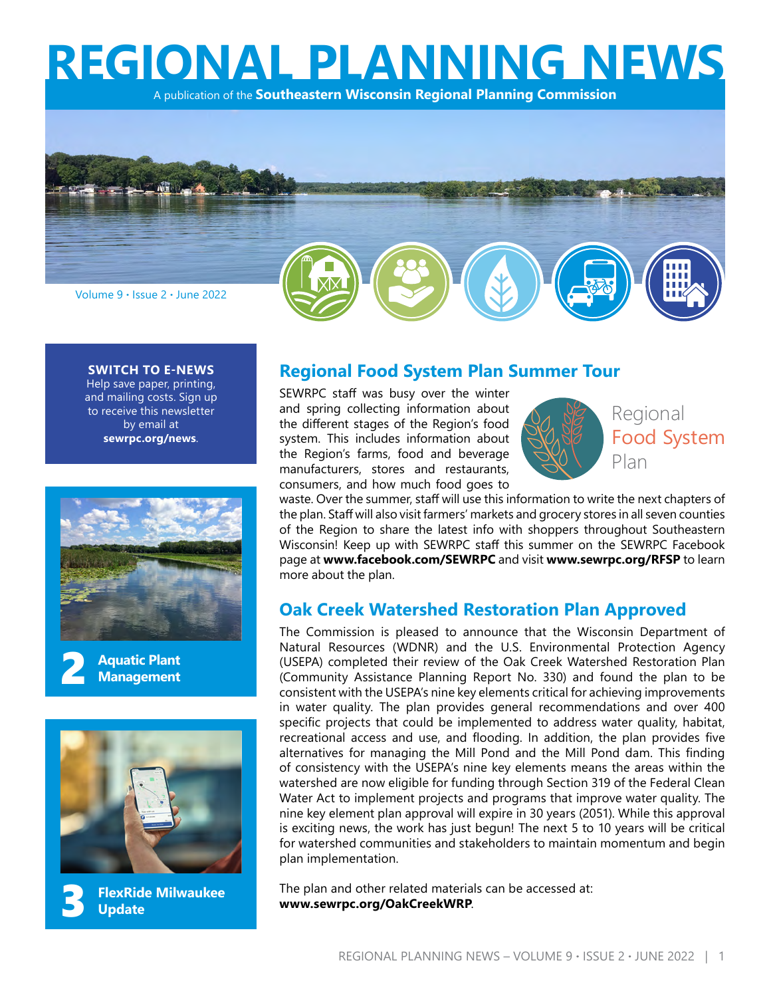**REGIONAL PLANNING NEWS**

A publication of the **Southeastern Wisconsin Regional Planning Commission**



#### **SWITCH TO E-NEWS**

Help save paper, printing, and mailing costs. Sign up to receive this newsletter by email at **[sewrpc.org/news](http://www.sewrpc.org/SEWRPC/DataResources/E-Newsletter.htm)**.









## **Regional Food System Plan Summer Tour**

SEWRPC staff was busy over the winter and spring collecting information about the different stages of the Region's food system. This includes information about the Region's farms, food and beverage manufacturers, stores and restaurants, consumers, and how much food goes to



waste. Over the summer, staff will use this information to write the next chapters of the plan. Staff will also visit farmers' markets and grocery stores in all seven counties of the Region to share the latest info with shoppers throughout Southeastern Wisconsin! Keep up with SEWRPC staff this summer on the SEWRPC Facebook page at **[www.facebook.com/SEWRPC](https://www.facebook.com/SEWRPC)** and visit **[www.sewrpc.org/RFSP](https://www.sewrpc.org/SEWRPC/LandUse/RegionalFoodSystemPlan.htm)** to learn more about the plan.

#### **Oak Creek Watershed Restoration Plan Approved**

The Commission is pleased to announce that the Wisconsin Department of Natural Resources (WDNR) and the U.S. Environmental Protection Agency (USEPA) completed their review of the Oak Creek Watershed Restoration Plan (Community Assistance Planning Report No. 330) and found the plan to be consistent with the USEPA's nine key elements critical for achieving improvements in water quality. The plan provides general recommendations and over 400 specific projects that could be implemented to address water quality, habitat, recreational access and use, and flooding. In addition, the plan provides five alternatives for managing the Mill Pond and the Mill Pond dam. This finding of consistency with the USEPA's nine key elements means the areas within the watershed are now eligible for funding through Section 319 of the Federal Clean Water Act to implement projects and programs that improve water quality. The nine key element plan approval will expire in 30 years (2051). While this approval is exciting news, the work has just begun! The next 5 to 10 years will be critical for watershed communities and stakeholders to maintain momentum and begin plan implementation.

The plan and other related materials can be accessed at: **[www.sewrpc.org/OakCreekWRP](https://www.sewrpc.org/SEWRPC/Environment/Restoration-Plan-Oak-Creek-Watershed.htm)**.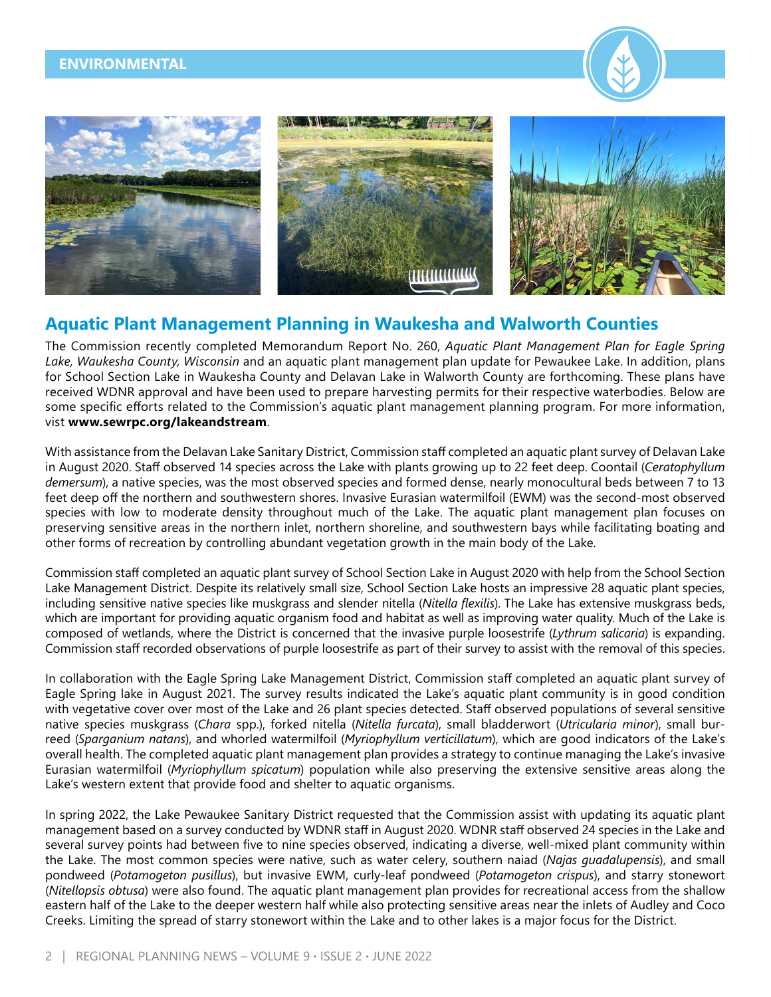#### <span id="page-1-0"></span>**ENVIRONMENTAL**





## **Aquatic Plant Management Planning in Waukesha and Walworth Counties**

The Commission recently completed Memorandum Report No. 260, *Aquatic Plant Management Plan for Eagle Spring Lake, Waukesha County, Wisconsin* and an aquatic plant management plan update for Pewaukee Lake. In addition, plans for School Section Lake in Waukesha County and Delavan Lake in Walworth County are forthcoming. These plans have received WDNR approval and have been used to prepare harvesting permits for their respective waterbodies. Below are some specific efforts related to the Commission's aquatic plant management planning program. For more information, vist **www.sewrpc.org/lakeandstream**.

With assistance from the Delavan Lake Sanitary District, Commission staff completed an aquatic plant survey of Delavan Lake in August 2020. Staff observed 14 species across the Lake with plants growing up to 22 feet deep. Coontail (*Ceratophyllum demersum*), a native species, was the most observed species and formed dense, nearly monocultural beds between 7 to 13 feet deep off the northern and southwestern shores. Invasive Eurasian watermilfoil (EWM) was the second-most observed species with low to moderate density throughout much of the Lake. The aquatic plant management plan focuses on preserving sensitive areas in the northern inlet, northern shoreline, and southwestern bays while facilitating boating and other forms of recreation by controlling abundant vegetation growth in the main body of the Lake.

Commission staff completed an aquatic plant survey of School Section Lake in August 2020 with help from the School Section Lake Management District. Despite its relatively small size, School Section Lake hosts an impressive 28 aquatic plant species, including sensitive native species like muskgrass and slender nitella (*Nitella flexilis*). The Lake has extensive muskgrass beds, which are important for providing aquatic organism food and habitat as well as improving water quality. Much of the Lake is composed of wetlands, where the District is concerned that the invasive purple loosestrife (*Lythrum salicaria*) is expanding. Commission staff recorded observations of purple loosestrife as part of their survey to assist with the removal of this species.

In collaboration with the Eagle Spring Lake Management District, Commission staff completed an aquatic plant survey of Eagle Spring lake in August 2021. The survey results indicated the Lake's aquatic plant community is in good condition with vegetative cover over most of the Lake and 26 plant species detected. Staff observed populations of several sensitive native species muskgrass (*Chara* spp.), forked nitella (*Nitella furcata*), small bladderwort (*Utricularia minor*), small burreed (*Sparganium natans*), and whorled watermilfoil (*Myriophyllum verticillatum*), which are good indicators of the Lake's overall health. The completed aquatic plant management plan provides a strategy to continue managing the Lake's invasive Eurasian watermilfoil (*Myriophyllum spicatum*) population while also preserving the extensive sensitive areas along the Lake's western extent that provide food and shelter to aquatic organisms.

In spring 2022, the Lake Pewaukee Sanitary District requested that the Commission assist with updating its aquatic plant management based on a survey conducted by WDNR staff in August 2020. WDNR staff observed 24 species in the Lake and several survey points had between five to nine species observed, indicating a diverse, well-mixed plant community within the Lake. The most common species were native, such as water celery, southern naiad (*Najas guadalupensis*), and small pondweed (*Potamogeton pusillus*), but invasive EWM, curly-leaf pondweed (*Potamogeton crispus*), and starry stonewort (*Nitellopsis obtusa*) were also found. The aquatic plant management plan provides for recreational access from the shallow eastern half of the Lake to the deeper western half while also protecting sensitive areas near the inlets of Audley and Coco Creeks. Limiting the spread of starry stonewort within the Lake and to other lakes is a major focus for the District.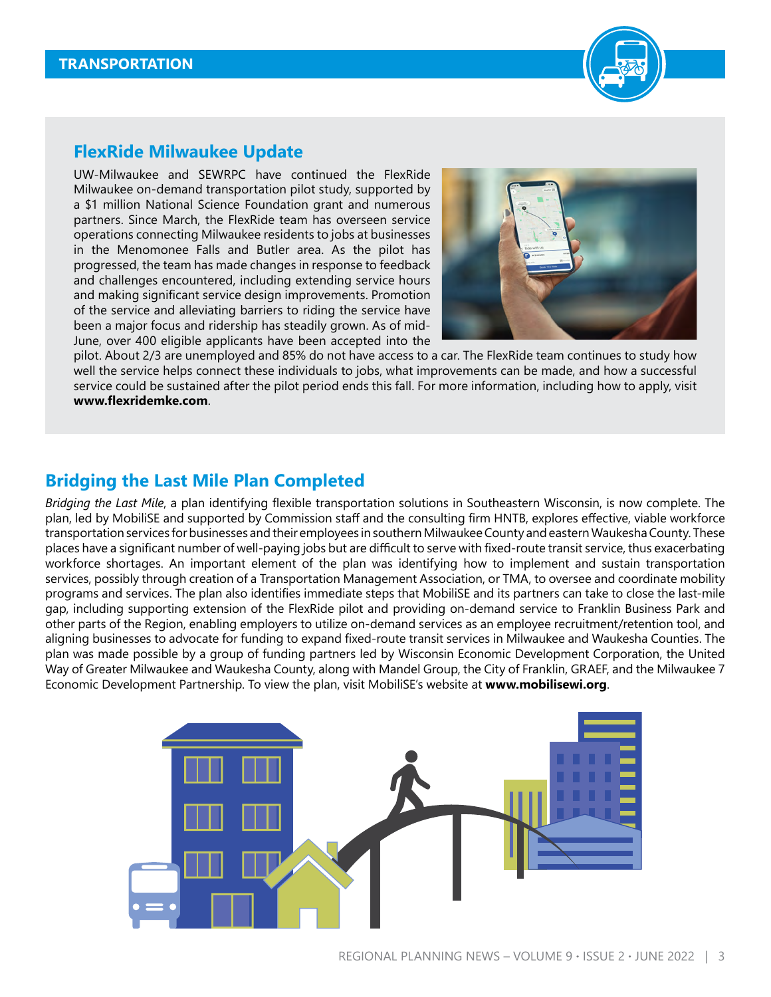

## <span id="page-2-0"></span>**FlexRide Milwaukee Update**

UW-Milwaukee and SEWRPC have continued the FlexRide Milwaukee on-demand transportation pilot study, supported by a \$1 million National Science Foundation grant and numerous partners. Since March, the FlexRide team has overseen service operations connecting Milwaukee residents to jobs at businesses in the Menomonee Falls and Butler area. As the pilot has progressed, the team has made changes in response to feedback and challenges encountered, including extending service hours and making significant service design improvements. Promotion of the service and alleviating barriers to riding the service have been a major focus and ridership has steadily grown. As of mid-June, over 400 eligible applicants have been accepted into the



pilot. About 2/3 are unemployed and 85% do not have access to a car. The FlexRide team continues to study how well the service helps connect these individuals to jobs, what improvements can be made, and how a successful service could be sustained after the pilot period ends this fall. For more information, including how to apply, visit **[www.flexridemke.com](https://www.flexridemke.com/)**.

# **Bridging the Last Mile Plan Completed**

*Bridging the Last Mile*, a plan identifying flexible transportation solutions in Southeastern Wisconsin, is now complete. The plan, led by MobiliSE and supported by Commission staff and the consulting firm HNTB, explores effective, viable workforce transportation services for businesses and their employees in southern Milwaukee County and eastern Waukesha County. These places have a significant number of well-paying jobs but are difficult to serve with fixed-route transit service, thus exacerbating workforce shortages. An important element of the plan was identifying how to implement and sustain transportation services, possibly through creation of a Transportation Management Association, or TMA, to oversee and coordinate mobility programs and services. The plan also identifies immediate steps that MobiliSE and its partners can take to close the last-mile gap, including supporting extension of the FlexRide pilot and providing on-demand service to Franklin Business Park and other parts of the Region, enabling employers to utilize on-demand services as an employee recruitment/retention tool, and aligning businesses to advocate for funding to expand fixed-route transit services in Milwaukee and Waukesha Counties. The plan was made possible by a group of funding partners led by Wisconsin Economic Development Corporation, the United Way of Greater Milwaukee and Waukesha County, along with Mandel Group, the City of Franklin, GRAEF, and the Milwaukee 7 Economic Development Partnership. To view the plan, visit MobiliSE's website at **[www.mobilisewi.org](http://www.mobilisewi.org)**.